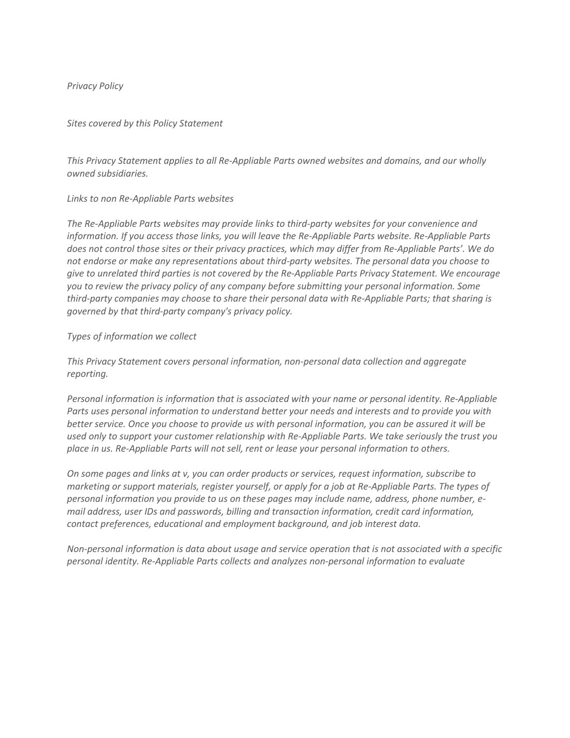### *Privacy Policy*

#### *Sites covered by this Policy Statement*

*This Privacy Statement applies to all Re-Appliable Parts owned websites and domains, and our wholly owned subsidiaries.*

#### *Links to non Re-Appliable Parts websites*

*The Re-Appliable Parts websites may provide links to third-party websites for your convenience and information. If you access those links, you will leave the Re-Appliable Parts website. Re-Appliable Parts does not control those sites or their privacy practices, which may differ from Re-Appliable Parts'. We do not endorse or make any representations about third-party websites. The personal data you choose to give to unrelated third parties is not covered by the Re-Appliable Parts Privacy Statement. We encourage you to review the privacy policy of any company before submitting your personal information. Some third-party companies may choose to share their personal data with Re-Appliable Parts; that sharing is governed by that third-party company's privacy policy.*

#### *Types of information we collect*

*This Privacy Statement covers personal information, non-personal data collection and aggregate reporting.*

*Personal information is information that is associated with your name or personal identity. Re-Appliable Parts uses personal information to understand better your needs and interests and to provide you with better service. Once you choose to provide us with personal information, you can be assured it will be used only to support your customer relationship with Re-Appliable Parts. We take seriously the trust you place in us. Re-Appliable Parts will not sell, rent or lease your personal information to others.* 

*On some pages and links at v, you can order products or services, request information, subscribe to marketing or support materials, register yourself, or apply for a job at Re-Appliable Parts. The types of personal information you provide to us on these pages may include name, address, phone number, email address, user IDs and passwords, billing and transaction information, credit card information, contact preferences, educational and employment background, and job interest data.*

*Non-personal information is data about usage and service operation that is not associated with a specific personal identity. Re-Appliable Parts collects and analyzes non-personal information to evaluate*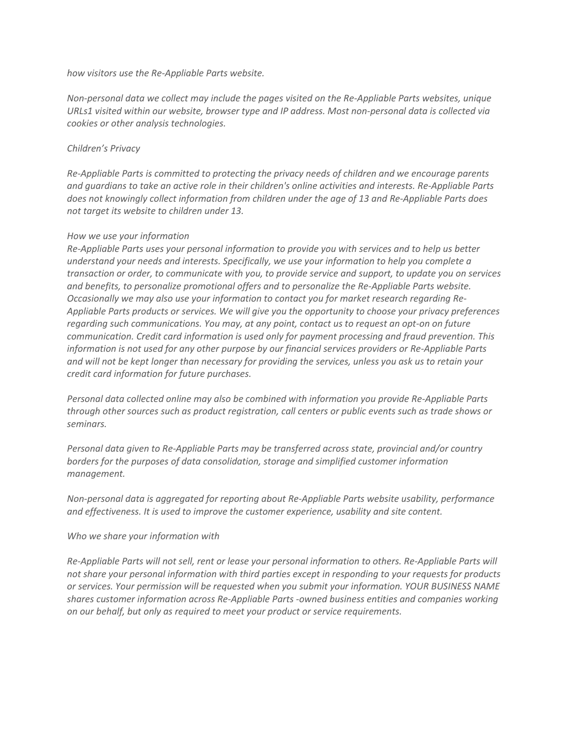*how visitors use the Re-Appliable Parts website.*

*Non-personal data we collect may include the pages visited on the Re-Appliable Parts websites, unique URLs1 visited within our website, browser type and IP address. Most non-personal data is collected via cookies or other analysis technologies.*

# *Children's Privacy*

*Re-Appliable Parts is committed to protecting the privacy needs of children and we encourage parents and guardians to take an active role in their children's online activities and interests. Re-Appliable Parts does not knowingly collect information from children under the age of 13 and Re-Appliable Parts does not target its website to children under 13.*

## *How we use your information*

*Re-Appliable Parts uses your personal information to provide you with services and to help us better understand your needs and interests. Specifically, we use your information to help you complete a transaction or order, to communicate with you, to provide service and support, to update you on services and benefits, to personalize promotional offers and to personalize the Re-Appliable Parts website. Occasionally we may also use your information to contact you for market research regarding Re-Appliable Parts products or services. We will give you the opportunity to choose your privacy preferences regarding such communications. You may, at any point, contact us to request an opt-on on future communication. Credit card information is used only for payment processing and fraud prevention. This information is not used for any other purpose by our financial services providers or Re-Appliable Parts and will not be kept longer than necessary for providing the services, unless you ask us to retain your credit card information for future purchases.* 

*Personal data collected online may also be combined with information you provide Re-Appliable Parts through other sources such as product registration, call centers or public events such as trade shows or seminars.* 

*Personal data given to Re-Appliable Parts may be transferred across state, provincial and/or country borders for the purposes of data consolidation, storage and simplified customer information management.* 

*Non-personal data is aggregated for reporting about Re-Appliable Parts website usability, performance and effectiveness. It is used to improve the customer experience, usability and site content.* 

## *Who we share your information with*

*Re-Appliable Parts will not sell, rent or lease your personal information to others. Re-Appliable Parts will not share your personal information with third parties except in responding to your requests for products or services. Your permission will be requested when you submit your information. YOUR BUSINESS NAME shares customer information across Re-Appliable Parts -owned business entities and companies working on our behalf, but only as required to meet your product or service requirements.*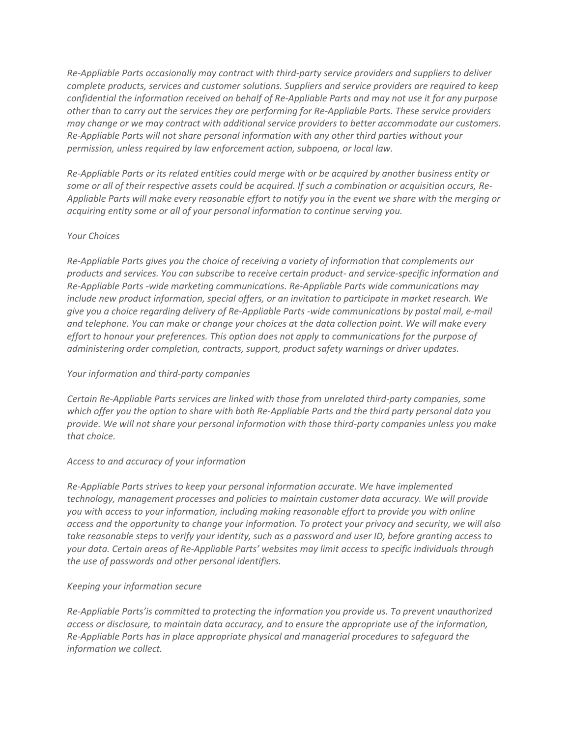*Re-Appliable Parts occasionally may contract with third-party service providers and suppliers to deliver complete products, services and customer solutions. Suppliers and service providers are required to keep confidential the information received on behalf of Re-Appliable Parts and may not use it for any purpose other than to carry out the services they are performing for Re-Appliable Parts. These service providers may change or we may contract with additional service providers to better accommodate our customers. Re-Appliable Parts will not share personal information with any other third parties without your permission, unless required by law enforcement action, subpoena, or local law.* 

*Re-Appliable Parts or its related entities could merge with or be acquired by another business entity or some or all of their respective assets could be acquired. If such a combination or acquisition occurs, Re-Appliable Parts will make every reasonable effort to notify you in the event we share with the merging or acquiring entity some or all of your personal information to continue serving you.* 

### *Your Choices*

*Re-Appliable Parts gives you the choice of receiving a variety of information that complements our products and services. You can subscribe to receive certain product- and service-specific information and Re-Appliable Parts -wide marketing communications. Re-Appliable Parts wide communications may include new product information, special offers, or an invitation to participate in market research. We give you a choice regarding delivery of Re-Appliable Parts -wide communications by postal mail, e-mail and telephone. You can make or change your choices at the data collection point. We will make every effort to honour your preferences. This option does not apply to communications for the purpose of administering order completion, contracts, support, product safety warnings or driver updates.* 

## *Your information and third-party companies*

*Certain Re-Appliable Parts services are linked with those from unrelated third-party companies, some which offer you the option to share with both Re-Appliable Parts and the third party personal data you provide. We will not share your personal information with those third-party companies unless you make that choice.* 

## *Access to and accuracy of your information*

*Re-Appliable Parts strives to keep your personal information accurate. We have implemented technology, management processes and policies to maintain customer data accuracy. We will provide you with access to your information, including making reasonable effort to provide you with online access and the opportunity to change your information. To protect your privacy and security, we will also take reasonable steps to verify your identity, such as a password and user ID, before granting access to your data. Certain areas of Re-Appliable Parts' websites may limit access to specific individuals through the use of passwords and other personal identifiers.* 

#### *Keeping your information secure*

*Re-Appliable Parts'is committed to protecting the information you provide us. To prevent unauthorized access or disclosure, to maintain data accuracy, and to ensure the appropriate use of the information, Re-Appliable Parts has in place appropriate physical and managerial procedures to safeguard the information we collect.*